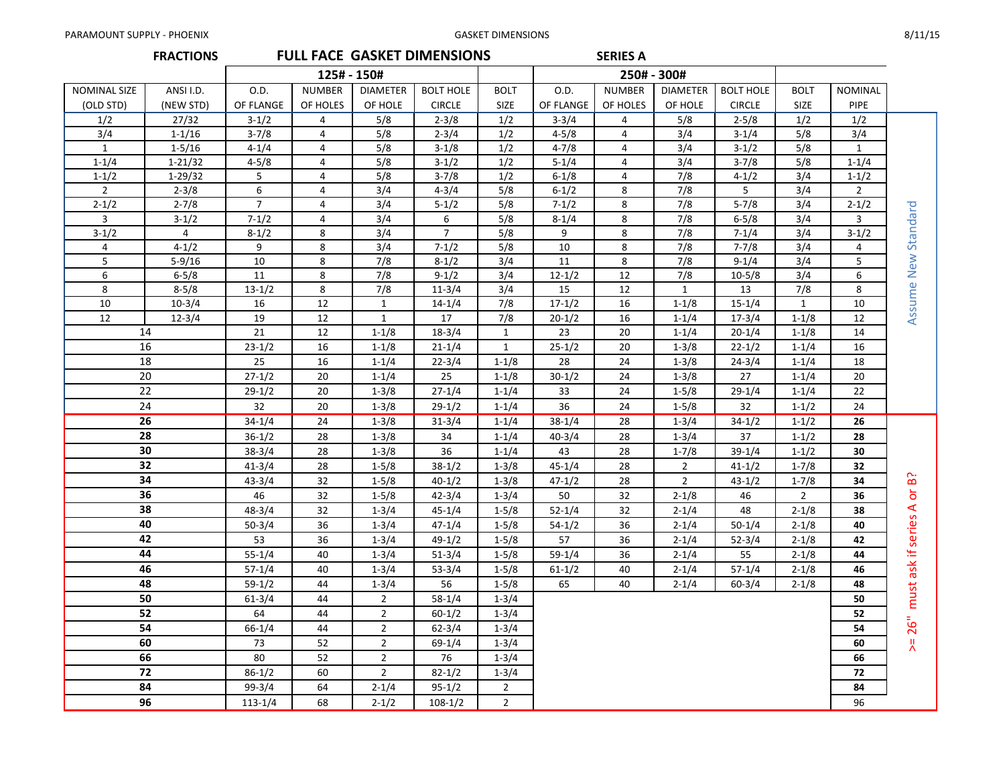|                | <b>FRACTIONS</b>      |             |                         |                 | <b>FULL FACE GASKET DIMENSIONS</b> |              |                  | <b>SERIES A</b> |                 |                       |              |                |                      |
|----------------|-----------------------|-------------|-------------------------|-----------------|------------------------------------|--------------|------------------|-----------------|-----------------|-----------------------|--------------|----------------|----------------------|
|                |                       | 125# - 150# |                         |                 |                                    |              | 250# - 300#      |                 |                 |                       |              |                |                      |
| NOMINAL SIZE   | ANSI I.D.             | O.D.        | <b>NUMBER</b>           | <b>DIAMETER</b> | <b>BOLT HOLE</b>                   | <b>BOLT</b>  | O.D.             | <b>NUMBER</b>   | <b>DIAMETER</b> | <b>BOLT HOLE</b>      | <b>BOLT</b>  | <b>NOMINAL</b> |                      |
| (OLD STD)      | (NEW STD)             | OF FLANGE   | OF HOLES                | OF HOLE         | <b>CIRCLE</b>                      | <b>SIZE</b>  | OF FLANGE        | OF HOLES        | OF HOLE         | <b>CIRCLE</b>         | <b>SIZE</b>  | <b>PIPE</b>    |                      |
| 1/2            | 27/32                 | $3-1/2$     | 4                       | 5/8             | $2 - 3/8$                          | 1/2          | $3-3/4$          | 4               | 5/8             | $2 - 5/8$             | 1/2          | 1/2            |                      |
| 3/4            | $1 - 1/16$            | $3 - 7/8$   | 4                       | 5/8             | $2 - 3/4$                          | 1/2          | $4 - 5/8$        | 4               | 3/4             | $3 - 1/4$             | 5/8          | 3/4            |                      |
| $\mathbf{1}$   | $1 - 5/16$            | $4 - 1/4$   | 4                       | 5/8             | $3-1/8$                            | 1/2          | $4 - 7/8$        | 4               | 3/4             | $3-1/2$               | 5/8          | $\mathbf{1}$   |                      |
| $1 - 1/4$      | $1 - 21/32$           | $4 - 5/8$   | 4                       | 5/8             | $3-1/2$                            | 1/2          | $5 - 1/4$        | 4               | 3/4             | $3 - 7/8$             | 5/8          | $1 - 1/4$      |                      |
| $1 - 1/2$      | $1 - 29/32$           | 5           | 4                       | 5/8             | $3 - 7/8$                          | 1/2          | $6 - 1/8$        | $\overline{4}$  | 7/8             | $4 - 1/2$             | 3/4          | $1 - 1/2$      |                      |
| $\overline{2}$ | $2 - 3/8$             | 6           | $\overline{\mathbf{4}}$ | 3/4             | $4 - 3/4$                          | 5/8          | $6 - 1/2$        | 8               | 7/8             | 5                     | 3/4          | $2^{\circ}$    |                      |
| $2 - 1/2$      | $2 - 7/8$             | $7^{\circ}$ | $\overline{4}$          | 3/4             | $5 - 1/2$                          | 5/8          | $7 - 1/2$        | 8               | 7/8             | $5 - 7/8$             | 3/4          | $2 - 1/2$      | Assume New Standard  |
| 3              | $3-1/2$               | $7 - 1/2$   | 4                       | 3/4             | 6                                  | 5/8          | $8 - 1/4$        | 8               | 7/8             | $6 - 5/8$             | 3/4          | 3              |                      |
| $3-1/2$        | 4                     | $8 - 1/2$   | 8                       | 3/4             | $\overline{7}$                     | 5/8          | 9                | 8               | 7/8             | $7 - 1/4$             | 3/4          | $3-1/2$        |                      |
| 4<br>5         | $4 - 1/2$             | 9           | 8                       | 3/4<br>7/8      | $7 - 1/2$                          | 5/8          | 10<br>11         | 8<br>8          | 7/8             | $7 - 7/8$             | 3/4          | 4              |                      |
| 6              | $5-9/16$<br>$6 - 5/8$ | 10<br>11    | 8<br>8                  | 7/8             | $8-1/2$<br>$9-1/2$                 | 3/4<br>3/4   |                  | 12              | 7/8<br>7/8      | $9 - 1/4$<br>$10-5/8$ | 3/4          | 5<br>6         |                      |
| 8              | $8 - 5/8$             | $13 - 1/2$  | 8                       | 7/8             | $11 - 3/4$                         | 3/4          | $12 - 1/2$<br>15 | 12              | $\mathbf{1}$    | 13                    | 3/4<br>7/8   | 8              |                      |
| 10             | $10-3/4$              | 16          | 12                      | 1               | $14 - 1/4$                         | 7/8          | $17 - 1/2$       | 16              | $1 - 1/8$       | $15 - 1/4$            | $\mathbf{1}$ | 10             |                      |
| 12             | $12 - 3/4$            | 19          | 12                      | $\mathbf{1}$    | 17                                 | 7/8          | $20 - 1/2$       | 16              | $1 - 1/4$       | $17 - 3/4$            | $1-1/8$      | 12             |                      |
| 14             |                       | 21          | 12                      | $1 - 1/8$       | $18-3/4$                           | $\mathbf{1}$ | 23               | 20              | $1 - 1/4$       | $20 - 1/4$            | $1 - 1/8$    | 14             |                      |
|                | 16                    | $23 - 1/2$  | 16                      | $1 - 1/8$       | $21 - 1/4$                         | $\mathbf{1}$ | $25 - 1/2$       | 20              | $1 - 3/8$       | $22 - 1/2$            | $1 - 1/4$    | 16             |                      |
| 18             |                       | 25          | 16                      | $1 - 1/4$       | $22 - 3/4$                         | $1 - 1/8$    | 28               | 24              | $1 - 3/8$       | $24 - 3/4$            | $1 - 1/4$    | 18             |                      |
|                | 20                    | $27 - 1/2$  | 20                      | $1 - 1/4$       | 25                                 | $1 - 1/8$    | $30-1/2$         | 24              | $1 - 3/8$       | 27                    | $1 - 1/4$    | 20             |                      |
|                | 22                    | $29-1/2$    | 20                      | $1 - 3/8$       | $27 - 1/4$                         | $1 - 1/4$    | 33               | 24              | $1 - 5/8$       | $29 - 1/4$            | $1 - 1/4$    | 22             |                      |
|                | 24                    | 32          | 20                      | $1 - 3/8$       | $29-1/2$                           | $1 - 1/4$    | 36               | 24              | $1 - 5/8$       | 32                    | $1 - 1/2$    | 24             |                      |
|                | 26                    | $34 - 1/4$  | 24                      | $1 - 3/8$       | $31 - 3/4$                         | $1 - 1/4$    | $38 - 1/4$       | 28              | $1 - 3/4$       | $34 - 1/2$            | $1 - 1/2$    | 26             |                      |
|                | 28                    | $36 - 1/2$  | 28                      | $1 - 3/8$       | 34                                 | $1 - 1/4$    | $40 - 3/4$       | 28              | $1 - 3/4$       | 37                    | $1 - 1/2$    | 28             |                      |
|                | 30                    | $38 - 3/4$  | 28                      | $1 - 3/8$       | 36                                 | $1 - 1/4$    | 43               | 28              | $1 - 7/8$       | $39 - 1/4$            | $1 - 1/2$    | 30             |                      |
|                | 32                    | $41 - 3/4$  | 28                      | $1 - 5/8$       | $38-1/2$                           | $1 - 3/8$    | $45 - 1/4$       | 28              | $\overline{2}$  | $41 - 1/2$            | $1 - 7/8$    | 32             |                      |
|                | 34                    | $43 - 3/4$  | 32                      | $1 - 5/8$       | $40 - 1/2$                         | $1 - 3/8$    | $47 - 1/2$       | 28              | $\overline{2}$  | $43 - 1/2$            | $1 - 7/8$    | 34             | ြင်း                 |
|                | 36                    | 46          | 32                      | $1 - 5/8$       | $42 - 3/4$                         | $1 - 3/4$    | 50               | 32              | $2 - 1/8$       | 46                    | $2^{\circ}$  | 36             | $\overline{5}$       |
|                | 38                    | $48 - 3/4$  | 32                      | $1 - 3/4$       | $45 - 1/4$                         | $1 - 5/8$    | $52 - 1/4$       | 32              | $2 - 1/4$       | 48                    | $2 - 1/8$    | 38             |                      |
|                | 40                    | $50-3/4$    | 36                      | $1 - 3/4$       | $47 - 1/4$                         | $1 - 5/8$    | $54 - 1/2$       | 36              | $2 - 1/4$       | $50 - 1/4$            | $2 - 1/8$    | 40             | must ask if series A |
|                | 42                    | 53          | 36                      | $1 - 3/4$       | $49 - 1/2$                         | $1 - 5/8$    | 57               | 36              | $2 - 1/4$       | $52 - 3/4$            | $2 - 1/8$    | 42             |                      |
|                | 44                    | $55 - 1/4$  | 40                      | $1 - 3/4$       | $51 - 3/4$                         | $1 - 5/8$    | $59-1/4$         | 36              | $2 - 1/4$       | 55                    | $2 - 1/8$    | 44             |                      |
|                | 46                    | $57 - 1/4$  | 40                      | $1 - 3/4$       | $53-3/4$                           | $1 - 5/8$    | $61 - 1/2$       | 40              | $2 - 1/4$       | $57 - 1/4$            | $2 - 1/8$    | 46             |                      |
|                | 48                    | $59-1/2$    | 44                      | $1 - 3/4$       | 56                                 | $1 - 5/8$    | 65               | 40              | $2 - 1/4$       | $60 - 3/4$            | $2 - 1/8$    | 48             |                      |
|                | 50                    | $61 - 3/4$  | 44                      | $2^{\circ}$     | $58 - 1/4$                         | $1 - 3/4$    |                  |                 |                 |                       |              | 50             |                      |
|                | 52                    | 64          | 44                      | $\overline{2}$  | $60 - 1/2$                         | $1 - 3/4$    |                  |                 |                 |                       |              | 52             |                      |
|                | 54                    | $66 - 1/4$  | 44                      | $\overline{2}$  | $62 - 3/4$                         | $1 - 3/4$    |                  |                 |                 |                       |              | 54             | 26"                  |
|                | 60                    | 73          | 52                      | $\overline{2}$  | $69 - 1/4$                         | $1 - 3/4$    |                  |                 |                 |                       |              | 60             | 뿠                    |
|                | 66                    | 80          | 52                      | $\overline{2}$  | 76                                 | $1 - 3/4$    |                  |                 |                 |                       |              | 66             |                      |
|                | 72                    | $86 - 1/2$  | 60                      | $\overline{2}$  | $82 - 1/2$                         | $1 - 3/4$    |                  |                 |                 |                       |              | 72             |                      |
|                | 84                    | $99 - 3/4$  | 64                      | $2 - 1/4$       | $95 - 1/2$                         | $2^{\circ}$  |                  |                 |                 |                       |              | 84             |                      |
|                | 96                    | $113 - 1/4$ | 68                      | $2 - 1/2$       | $108 - 1/2$                        | $2^{\circ}$  |                  |                 |                 |                       |              | 96             |                      |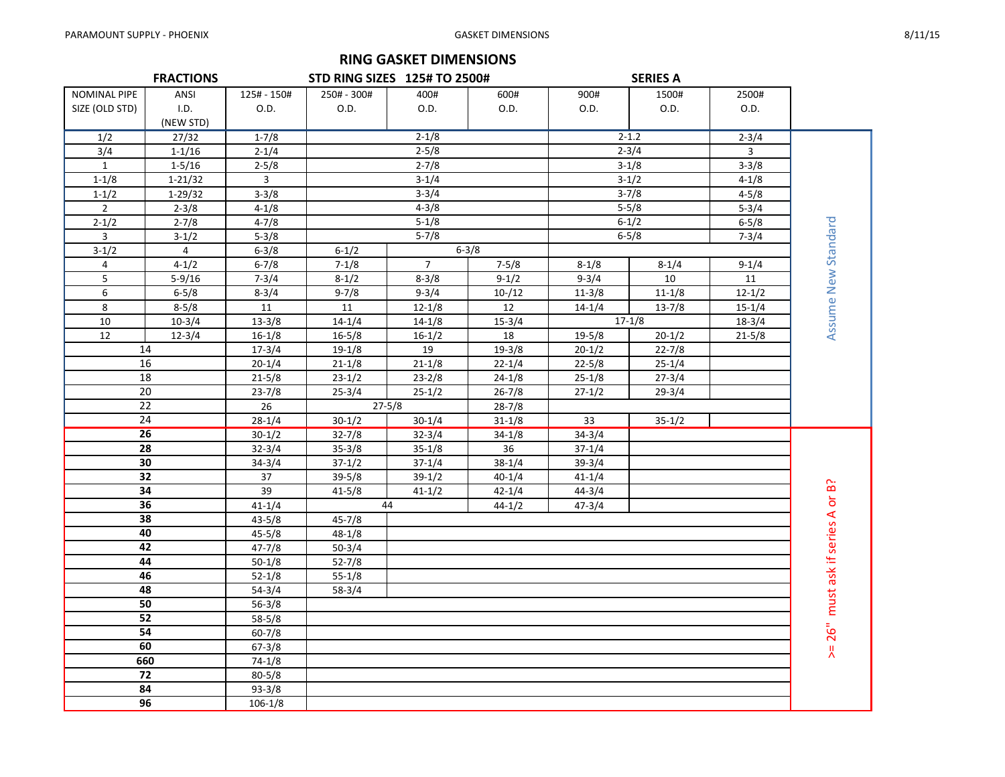## **RING GASKET DIMENSIONS**

|                | <b>FRACTIONS</b> |                | <b>STD RING SIZES 125# TO 2500#</b> |                |            |            | <b>SERIES A</b> |            |                     |
|----------------|------------------|----------------|-------------------------------------|----------------|------------|------------|-----------------|------------|---------------------|
| NOMINAL PIPE   | ANSI             | 125# - 150#    | 250# - 300#                         | 400#           | 600#       | 900#       | 1500#           | 2500#      |                     |
| SIZE (OLD STD) | I.D.             | O.D.           | O.D.                                | 0.D.           | O.D.       | O.D.       | O.D.            | O.D.       |                     |
|                | (NEW STD)        |                |                                     |                |            |            |                 |            |                     |
| 1/2            | 27/32            | $1 - 7/8$      |                                     | $2 - 1/8$      |            |            | $2 - 1.2$       | $2 - 3/4$  |                     |
| 3/4            | $1 - 1/16$       | $2 - 1/4$      |                                     | $2 - 5/8$      |            |            | $2 - 3/4$       | 3          |                     |
| $\mathbf{1}$   | $1 - 5/16$       | $2 - 5/8$      |                                     | $2 - 7/8$      |            |            | $3-1/8$         | $3 - 3/8$  |                     |
| $1 - 1/8$      | $1 - 21/32$      | $\overline{3}$ |                                     | $3 - 1/4$      |            |            | $3-1/2$         | $4 - 1/8$  |                     |
| $1 - 1/2$      | $1-29/32$        | $3 - 3/8$      |                                     | $3 - 3/4$      |            |            | $3 - 7/8$       | $4 - 5/8$  |                     |
| $2^{\circ}$    | $2 - 3/8$        | $4 - 1/8$      |                                     | $4 - 3/8$      |            |            | $5 - 5/8$       | $5 - 3/4$  |                     |
| $2 - 1/2$      | $2 - 7/8$        | $4 - 7/8$      |                                     | $5 - 1/8$      |            |            | $6 - 1/2$       | $6 - 5/8$  |                     |
| $\mathbf{3}$   | $3-1/2$          | $5 - 3/8$      |                                     | $5 - 7/8$      |            |            | $6 - 5/8$       | $7 - 3/4$  |                     |
| $3-1/2$        | $\overline{a}$   | $6 - 3/8$      | $6 - 1/2$                           |                | $6 - 3/8$  |            |                 |            | Assume New Standard |
| 4              | $4 - 1/2$        | $6 - 7/8$      | $7 - 1/8$                           | $\overline{7}$ | $7 - 5/8$  | $8 - 1/8$  | $8 - 1/4$       | $9 - 1/4$  |                     |
| 5              | $5-9/16$         | $7 - 3/4$      | $8-1/2$                             | $8 - 3/8$      | $9-1/2$    | $9 - 3/4$  | 10              | 11         |                     |
| 6              | $6 - 5/8$        | $8 - 3/4$      | $9 - 7/8$                           | $9 - 3/4$      | $10 - 12$  | $11 - 3/8$ | $11 - 1/8$      | $12 - 1/2$ |                     |
| 8              | $8 - 5/8$        | 11             | 11                                  | $12 - 1/8$     | 12         | $14 - 1/4$ | $13 - 7/8$      | $15 - 1/4$ |                     |
| 10             | $10-3/4$         | $13-3/8$       | $14 - 1/4$                          | $14 - 1/8$     | $15 - 3/4$ |            | $17-1/8$        | $18-3/4$   |                     |
| 12             | $12 - 3/4$       | $16 - 1/8$     | $16 - 5/8$                          | $16 - 1/2$     | 18         | $19 - 5/8$ | $20 - 1/2$      | $21 - 5/8$ |                     |
|                | 14               | $17 - 3/4$     | $19-1/8$                            | 19             | $19 - 3/8$ | $20 - 1/2$ | $22 - 7/8$      |            |                     |
|                | 16               | $20 - 1/4$     | $21 - 1/8$                          | $21 - 1/8$     | $22 - 1/4$ | $22 - 5/8$ | $25 - 1/4$      |            |                     |
|                | 18               | $21 - 5/8$     | $23-1/2$                            | $23 - 2/8$     | $24 - 1/8$ | $25-1/8$   | $27 - 3/4$      |            |                     |
|                | 20               | $23 - 7/8$     | $25 - 3/4$                          | $25 - 1/2$     | $26 - 7/8$ | $27 - 1/2$ | $29 - 3/4$      |            |                     |
|                | 22               | 26             |                                     | $27 - 5/8$     | $28 - 7/8$ |            |                 |            |                     |
|                | 24               | $28 - 1/4$     | $30-1/2$                            | $30 - 1/4$     | $31 - 1/8$ | 33         | $35 - 1/2$      |            |                     |
|                | $\overline{26}$  | $30-1/2$       | $32 - 7/8$                          | $32 - 3/4$     | $34 - 1/8$ | $34 - 3/4$ |                 |            |                     |
|                | 28               | $32 - 3/4$     | $35 - 3/8$                          | $35 - 1/8$     | 36         | $37 - 1/4$ |                 |            |                     |
|                | 30               | $34 - 3/4$     | $37 - 1/2$                          | $37 - 1/4$     | $38 - 1/4$ | $39 - 3/4$ |                 |            |                     |
|                | 32               | 37             | $39 - 5/8$                          | $39-1/2$       | $40 - 1/4$ | $41 - 1/4$ |                 |            | ခြ                  |
|                | 34               | 39             | $41 - 5/8$                          | $41 - 1/2$     | $42 - 1/4$ | $44 - 3/4$ |                 |            | ð                   |
|                | 36               | $41 - 1/4$     |                                     | 44             | $44 - 1/2$ | $47 - 3/4$ |                 |            | ⋖                   |
|                | 38               | $43 - 5/8$     | $45 - 7/8$                          |                |            |            |                 |            |                     |
|                | 40               | $45 - 5/8$     | $48 - 1/8$                          |                |            |            |                 |            | must ask if series  |
|                | 42               | $47 - 7/8$     | $50-3/4$                            |                |            |            |                 |            |                     |
|                | 44               | $50 - 1/8$     | $52 - 7/8$                          |                |            |            |                 |            |                     |
|                | 46               | $52 - 1/8$     | $55 - 1/8$                          |                |            |            |                 |            |                     |
|                | 48               | $54 - 3/4$     | $58-3/4$                            |                |            |            |                 |            |                     |
|                | 50               | $56 - 3/8$     |                                     |                |            |            |                 |            |                     |
|                | 52               | $58 - 5/8$     |                                     |                |            |            |                 |            |                     |
|                | 54               | $60 - 7/8$     |                                     |                |            |            |                 |            | 26"                 |
|                | 60               | $67 - 3/8$     |                                     |                |            |            |                 |            | Λ                   |
|                | 660              | $74-1/8$       |                                     |                |            |            |                 |            |                     |
|                | 72               | $80 - 5/8$     |                                     |                |            |            |                 |            |                     |
|                | 84               | $93 - 3/8$     |                                     |                |            |            |                 |            |                     |
|                | 96               | $106 - 1/8$    |                                     |                |            |            |                 |            |                     |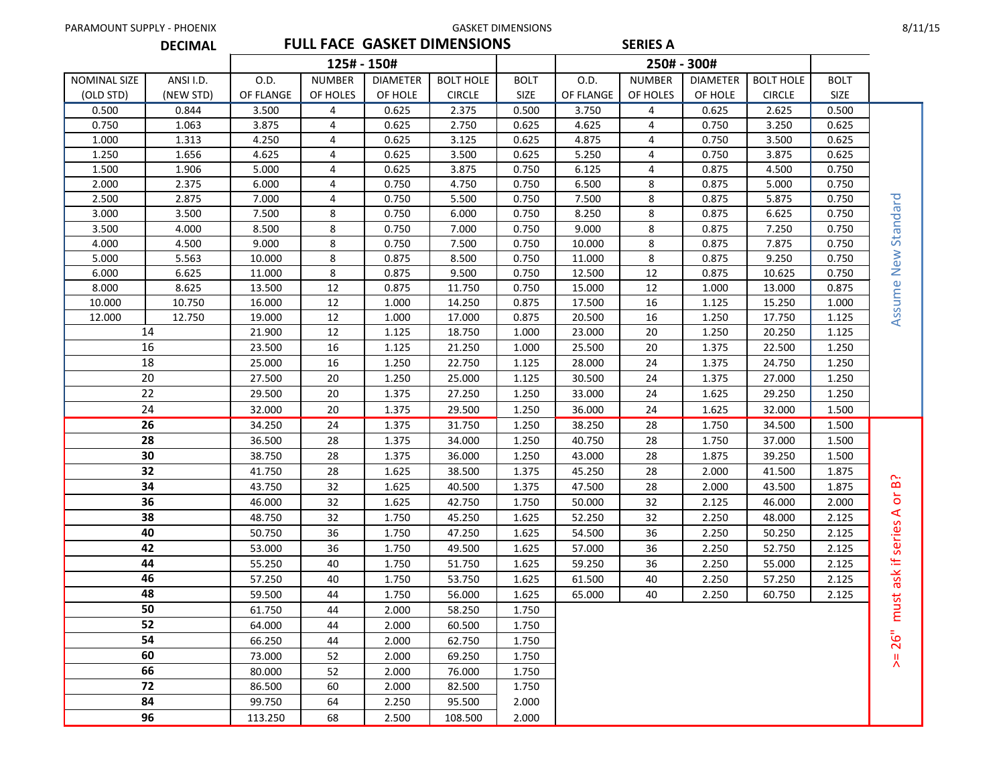| PARAMOUNT SUPPLY - PHOENIX |                |           |               |                 |                                    | <b>GASKET DIMENSIONS</b> |           |                 |                 |                  |             | 8/11/15                   |
|----------------------------|----------------|-----------|---------------|-----------------|------------------------------------|--------------------------|-----------|-----------------|-----------------|------------------|-------------|---------------------------|
|                            | <b>DECIMAL</b> |           |               |                 | <b>FULL FACE GASKET DIMENSIONS</b> |                          |           | <b>SERIES A</b> |                 |                  |             |                           |
|                            |                |           |               | 125# - 150#     |                                    |                          |           |                 | 250# - 300#     |                  |             |                           |
| NOMINAL SIZE               | ANSI I.D.      | O.D.      | <b>NUMBER</b> | <b>DIAMETER</b> | <b>BOLT HOLE</b>                   | <b>BOLT</b>              | O.D.      | <b>NUMBER</b>   | <b>DIAMETER</b> | <b>BOLT HOLE</b> | <b>BOLT</b> |                           |
| (OLD STD)                  | (NEW STD)      | OF FLANGE | OF HOLES      | OF HOLE         | <b>CIRCLE</b>                      | <b>SIZE</b>              | OF FLANGE | OF HOLES        | OF HOLE         | <b>CIRCLE</b>    | <b>SIZE</b> |                           |
| 0.500                      | 0.844          | 3.500     | 4             | 0.625           | 2.375                              | 0.500                    | 3.750     | 4               | 0.625           | 2.625            | 0.500       |                           |
| 0.750                      | 1.063          | 3.875     | 4             | 0.625           | 2.750                              | 0.625                    | 4.625     | 4               | 0.750           | 3.250            | 0.625       |                           |
| 1.000                      | 1.313          | 4.250     | 4             | 0.625           | 3.125                              | 0.625                    | 4.875     | 4               | 0.750           | 3.500            | 0.625       |                           |
| 1.250                      | 1.656          | 4.625     | 4             | 0.625           | 3.500                              | 0.625                    | 5.250     | 4               | 0.750           | 3.875            | 0.625       |                           |
| 1.500                      | 1.906          | 5.000     | 4             | 0.625           | 3.875                              | 0.750                    | 6.125     | 4               | 0.875           | 4.500            | 0.750       |                           |
| 2.000                      | 2.375          | 6.000     | 4             | 0.750           | 4.750                              | 0.750                    | 6.500     | 8               | 0.875           | 5.000            | 0.750       |                           |
| 2.500                      | 2.875          | 7.000     | 4             | 0.750           | 5.500                              | 0.750                    | 7.500     | 8               | 0.875           | 5.875            | 0.750       |                           |
| 3.000                      | 3.500          | 7.500     | 8             | 0.750           | 6.000                              | 0.750                    | 8.250     | 8               | 0.875           | 6.625            | 0.750       | Standard                  |
| 3.500                      | 4.000          | 8.500     | 8             | 0.750           | 7.000                              | 0.750                    | 9.000     | 8               | 0.875           | 7.250            | 0.750       |                           |
| 4.000                      | 4.500          | 9.000     | 8             | 0.750           | 7.500                              | 0.750                    | 10.000    | 8               | 0.875           | 7.875            | 0.750       |                           |
| 5.000                      | 5.563          | 10.000    | 8             | 0.875           | 8.500                              | 0.750                    | 11.000    | 8               | 0.875           | 9.250            | 0.750       | New                       |
| 6.000                      | 6.625          | 11.000    | 8             | 0.875           | 9.500                              | 0.750                    | 12.500    | 12              | 0.875           | 10.625           | 0.750       |                           |
| 8.000                      | 8.625          | 13.500    | 12            | 0.875           | 11.750                             | 0.750                    | 15.000    | 12              | 1.000           | 13.000           | 0.875       |                           |
| 10.000                     | 10.750         | 16.000    | 12            | 1.000           | 14.250                             | 0.875                    | 17.500    | 16              | 1.125           | 15.250           | 1.000       | Assume                    |
| 12.000                     | 12.750         | 19.000    | 12            | 1.000           | 17.000                             | 0.875                    | 20.500    | 16              | 1.250           | 17.750           | 1.125       |                           |
|                            | 14             | 21.900    | 12            | 1.125           | 18.750                             | 1.000                    | 23.000    | 20              | 1.250           | 20.250           | 1.125       |                           |
| 16                         |                | 23.500    | 16            | 1.125           | 21.250                             | 1.000                    | 25.500    | 20              | 1.375           | 22.500           | 1.250       |                           |
| 18                         |                | 25.000    | 16            | 1.250           | 22.750                             | 1.125                    | 28.000    | 24              | 1.375           | 24.750           | 1.250       |                           |
|                            | 20             | 27.500    | 20            | 1.250           | 25.000                             | 1.125                    | 30.500    | 24              | 1.375           | 27.000           | 1.250       |                           |
|                            | 22             | 29.500    | 20            | 1.375           | 27.250                             | 1.250                    | 33.000    | 24              | 1.625           | 29.250           | 1.250       |                           |
|                            | 24             | 32.000    | 20            | 1.375           | 29.500                             | 1.250                    | 36.000    | 24              | 1.625           | 32.000           | 1.500       |                           |
|                            | 26             | 34.250    | 24            | 1.375           | 31.750                             | 1.250                    | 38.250    | 28              | 1.750           | 34.500           | 1.500       |                           |
|                            | 28             | 36.500    | 28            | 1.375           | 34.000                             | 1.250                    | 40.750    | 28              | 1.750           | 37.000           | 1.500       |                           |
|                            | 30             | 38.750    | 28            | 1.375           | 36.000                             | 1.250                    | 43.000    | 28              | 1.875           | 39.250           | 1.500       |                           |
|                            | 32             | 41.750    | 28            | 1.625           | 38.500                             | 1.375                    | 45.250    | 28              | 2.000           | 41.500           | 1.875       | $\sim$                    |
|                            | 34             | 43.750    | 32            | 1.625           | 40.500                             | 1.375                    | 47.500    | 28              | 2.000           | 43.500           | 1.875       | $\bf{D}$                  |
|                            | 36             | 46.000    | 32            | 1.625           | 42.750                             | 1.750                    | 50.000    | 32              | 2.125           | 46.000           | 2.000       | ŏ                         |
|                            | 38             | 48.750    | 32            | 1.750           | 45.250                             | 1.625                    | 52.250    | 32              | 2.250           | 48.000           | 2.125       | $\blacktriangleleft$<br>S |
|                            | 40             | 50.750    | 36            | 1.750           | 47.250                             | 1.625                    | 54.500    | 36              | 2.250           | 50.250           | 2.125       | serie                     |
|                            | 42             | 53.000    | 36            | 1.750           | 49.500                             | 1.625                    | 57.000    | 36              | 2.250           | 52.750           | 2.125       |                           |
|                            | 44             | 55.250    | 40            | 1.750           | 51.750                             | 1.625                    | 59.250    | 36              | 2.250           | 55.000           | 2.125       | $\pm$                     |
|                            | 46             | 57.250    | 40            | 1.750           | 53.750                             | 1.625                    | 61.500    | 40              | 2.250           | 57.250           | 2.125       | $\frac{1}{\infty}$<br>ā   |
|                            | 48             | 59.500    | 44            | 1.750           | 56.000                             | 1.625                    | 65.000    | 40              | 2.250           | 60.750           | 2.125       |                           |
|                            | 50             | 61.750    | 44            | 2.000           | 58.250                             | 1.750                    |           |                 |                 |                  |             | must                      |
|                            | 52             | 64.000    | 44            | 2.000           | 60.500                             | 1.750                    |           |                 |                 |                  |             |                           |
|                            | 54             | 66.250    | 44            | 2.000           | 62.750                             | 1.750                    |           |                 |                 |                  |             | $\bar{5}$<br>$\sim$       |
|                            | 60             | 73.000    | 52            | 2.000           | 69.250                             | 1.750                    |           |                 |                 |                  |             | 뿠                         |
|                            | 66             | 80.000    | 52            | 2.000           | 76.000                             | 1.750                    |           |                 |                 |                  |             |                           |
|                            | 72             | 86.500    | 60            | 2.000           | 82.500                             | 1.750                    |           |                 |                 |                  |             |                           |
|                            | 84             | 99.750    | 64            | 2.250           | 95.500                             | 2.000                    |           |                 |                 |                  |             |                           |
|                            | 96             | 113.250   | 68            | 2.500           | 108.500                            | 2.000                    |           |                 |                 |                  |             |                           |
|                            |                |           |               |                 |                                    |                          |           |                 |                 |                  |             |                           |